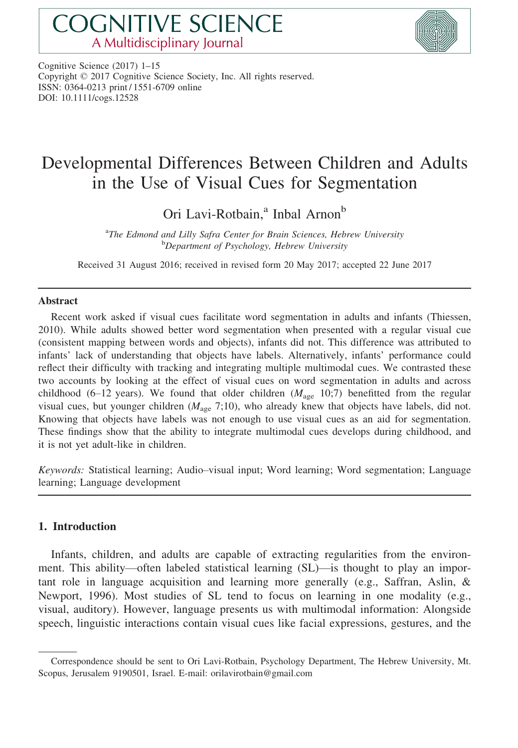# **COGNITIVE SCIENCE** A Multidisciplinary Journal



Cognitive Science (2017) 1–15 Copyright © 2017 Cognitive Science Society, Inc. All rights reserved. ISSN: 0364-0213 print / 1551-6709 online DOI: 10.1111/cogs.12528

# Developmental Differences Between Children and Adults in the Use of Visual Cues for Segmentation

Ori Lavi-Rotbain,<sup>a</sup> Inbal Arnon<sup>b</sup>

<sup>a</sup>The Edmond and Lilly Safra Center for Brain Sciences, Hebrew University<br><sup>b</sup>Department of Psychology, Hebray University <sup>b</sup>Department of Psychology, Hebrew University

Received 31 August 2016; received in revised form 20 May 2017; accepted 22 June 2017

#### Abstract

Recent work asked if visual cues facilitate word segmentation in adults and infants (Thiessen, 2010). While adults showed better word segmentation when presented with a regular visual cue (consistent mapping between words and objects), infants did not. This difference was attributed to infants' lack of understanding that objects have labels. Alternatively, infants' performance could reflect their difficulty with tracking and integrating multiple multimodal cues. We contrasted these two accounts by looking at the effect of visual cues on word segmentation in adults and across childhood (6–12 years). We found that older children  $(M_{\text{age}} 10;7)$  benefitted from the regular visual cues, but younger children  $(M_{\text{age}} 7;10)$ , who already knew that objects have labels, did not. Knowing that objects have labels was not enough to use visual cues as an aid for segmentation. These findings show that the ability to integrate multimodal cues develops during childhood, and it is not yet adult-like in children.

Keywords: Statistical learning; Audio–visual input; Word learning; Word segmentation; Language learning; Language development

# 1. Introduction

Infants, children, and adults are capable of extracting regularities from the environment. This ability—often labeled statistical learning (SL)—is thought to play an important role in language acquisition and learning more generally (e.g., Saffran, Aslin, & Newport, 1996). Most studies of SL tend to focus on learning in one modality (e.g., visual, auditory). However, language presents us with multimodal information: Alongside speech, linguistic interactions contain visual cues like facial expressions, gestures, and the

Correspondence should be sent to Ori Lavi-Rotbain, Psychology Department, The Hebrew University, Mt. Scopus, Jerusalem 9190501, Israel. E-mail: orilavirotbain@gmail.com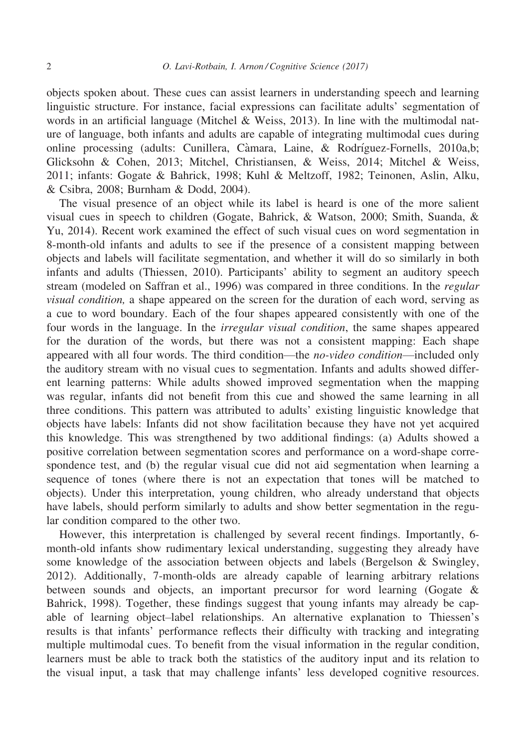objects spoken about. These cues can assist learners in understanding speech and learning linguistic structure. For instance, facial expressions can facilitate adults' segmentation of words in an artificial language (Mitchel & Weiss, 2013). In line with the multimodal nature of language, both infants and adults are capable of integrating multimodal cues during online processing (adults: Cunillera, Camara, Laine, & Rodrıguez-Fornells, 2010a,b; Glicksohn & Cohen, 2013; Mitchel, Christiansen, & Weiss, 2014; Mitchel & Weiss, 2011; infants: Gogate & Bahrick, 1998; Kuhl & Meltzoff, 1982; Teinonen, Aslin, Alku, & Csibra, 2008; Burnham & Dodd, 2004).

The visual presence of an object while its label is heard is one of the more salient visual cues in speech to children (Gogate, Bahrick, & Watson, 2000; Smith, Suanda, & Yu, 2014). Recent work examined the effect of such visual cues on word segmentation in 8-month-old infants and adults to see if the presence of a consistent mapping between objects and labels will facilitate segmentation, and whether it will do so similarly in both infants and adults (Thiessen, 2010). Participants' ability to segment an auditory speech stream (modeled on Saffran et al., 1996) was compared in three conditions. In the *regular* visual condition, a shape appeared on the screen for the duration of each word, serving as a cue to word boundary. Each of the four shapes appeared consistently with one of the four words in the language. In the irregular visual condition, the same shapes appeared for the duration of the words, but there was not a consistent mapping: Each shape appeared with all four words. The third condition—the no-video condition—included only the auditory stream with no visual cues to segmentation. Infants and adults showed different learning patterns: While adults showed improved segmentation when the mapping was regular, infants did not benefit from this cue and showed the same learning in all three conditions. This pattern was attributed to adults' existing linguistic knowledge that objects have labels: Infants did not show facilitation because they have not yet acquired this knowledge. This was strengthened by two additional findings: (a) Adults showed a positive correlation between segmentation scores and performance on a word-shape correspondence test, and (b) the regular visual cue did not aid segmentation when learning a sequence of tones (where there is not an expectation that tones will be matched to objects). Under this interpretation, young children, who already understand that objects have labels, should perform similarly to adults and show better segmentation in the regular condition compared to the other two.

However, this interpretation is challenged by several recent findings. Importantly, 6 month-old infants show rudimentary lexical understanding, suggesting they already have some knowledge of the association between objects and labels (Bergelson  $\&$  Swingley, 2012). Additionally, 7-month-olds are already capable of learning arbitrary relations between sounds and objects, an important precursor for word learning (Gogate & Bahrick, 1998). Together, these findings suggest that young infants may already be capable of learning object–label relationships. An alternative explanation to Thiessen's results is that infants' performance reflects their difficulty with tracking and integrating multiple multimodal cues. To benefit from the visual information in the regular condition, learners must be able to track both the statistics of the auditory input and its relation to the visual input, a task that may challenge infants' less developed cognitive resources.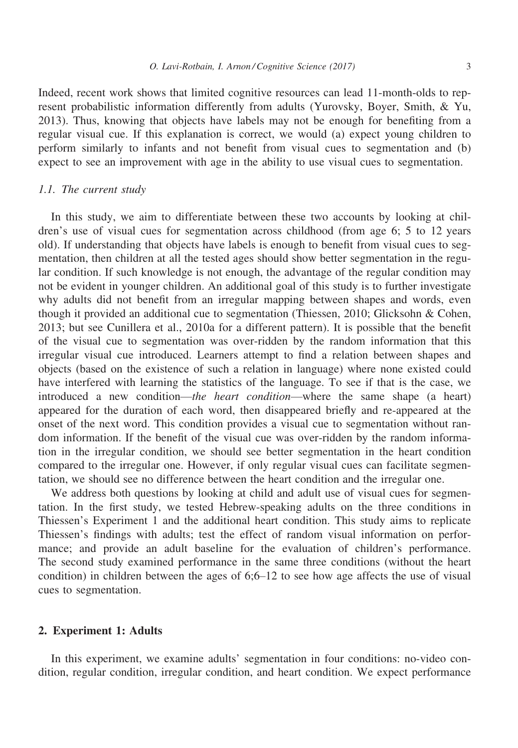Indeed, recent work shows that limited cognitive resources can lead 11-month-olds to represent probabilistic information differently from adults (Yurovsky, Boyer, Smith, & Yu, 2013). Thus, knowing that objects have labels may not be enough for benefiting from a regular visual cue. If this explanation is correct, we would (a) expect young children to perform similarly to infants and not benefit from visual cues to segmentation and (b) expect to see an improvement with age in the ability to use visual cues to segmentation.

#### 1.1. The current study

In this study, we aim to differentiate between these two accounts by looking at children's use of visual cues for segmentation across childhood (from age 6; 5 to 12 years old). If understanding that objects have labels is enough to benefit from visual cues to segmentation, then children at all the tested ages should show better segmentation in the regular condition. If such knowledge is not enough, the advantage of the regular condition may not be evident in younger children. An additional goal of this study is to further investigate why adults did not benefit from an irregular mapping between shapes and words, even though it provided an additional cue to segmentation (Thiessen, 2010; Glicksohn & Cohen, 2013; but see Cunillera et al., 2010a for a different pattern). It is possible that the benefit of the visual cue to segmentation was over-ridden by the random information that this irregular visual cue introduced. Learners attempt to find a relation between shapes and objects (based on the existence of such a relation in language) where none existed could have interfered with learning the statistics of the language. To see if that is the case, we introduced a new condition—the heart condition—where the same shape (a heart) appeared for the duration of each word, then disappeared briefly and re-appeared at the onset of the next word. This condition provides a visual cue to segmentation without random information. If the benefit of the visual cue was over-ridden by the random information in the irregular condition, we should see better segmentation in the heart condition compared to the irregular one. However, if only regular visual cues can facilitate segmentation, we should see no difference between the heart condition and the irregular one.

We address both questions by looking at child and adult use of visual cues for segmentation. In the first study, we tested Hebrew-speaking adults on the three conditions in Thiessen's Experiment 1 and the additional heart condition. This study aims to replicate Thiessen's findings with adults; test the effect of random visual information on performance; and provide an adult baseline for the evaluation of children's performance. The second study examined performance in the same three conditions (without the heart condition) in children between the ages of  $6.6-12$  to see how age affects the use of visual cues to segmentation.

### 2. Experiment 1: Adults

In this experiment, we examine adults' segmentation in four conditions: no-video condition, regular condition, irregular condition, and heart condition. We expect performance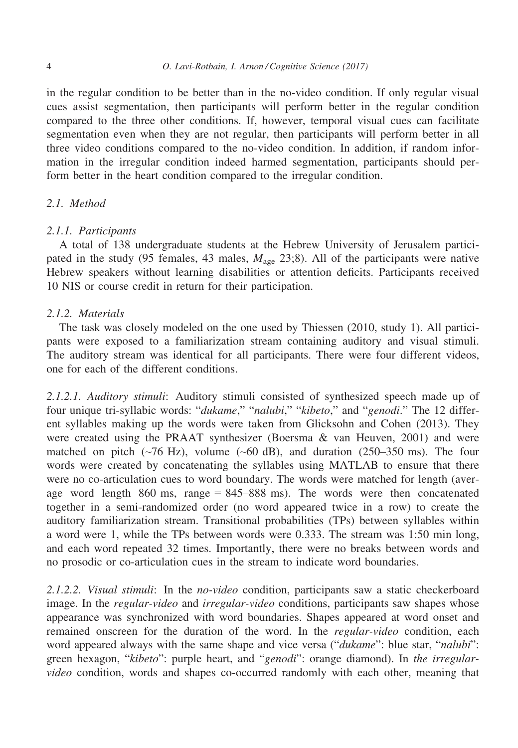in the regular condition to be better than in the no-video condition. If only regular visual cues assist segmentation, then participants will perform better in the regular condition compared to the three other conditions. If, however, temporal visual cues can facilitate segmentation even when they are not regular, then participants will perform better in all three video conditions compared to the no-video condition. In addition, if random information in the irregular condition indeed harmed segmentation, participants should perform better in the heart condition compared to the irregular condition.

# 2.1. Method

# 2.1.1. Participants

A total of 138 undergraduate students at the Hebrew University of Jerusalem participated in the study (95 females, 43 males,  $M_{\text{age}}$  23;8). All of the participants were native Hebrew speakers without learning disabilities or attention deficits. Participants received 10 NIS or course credit in return for their participation.

# 2.1.2. Materials

The task was closely modeled on the one used by Thiessen (2010, study 1). All participants were exposed to a familiarization stream containing auditory and visual stimuli. The auditory stream was identical for all participants. There were four different videos, one for each of the different conditions.

2.1.2.1. Auditory stimuli: Auditory stimuli consisted of synthesized speech made up of four unique tri-syllabic words: "dukame," "nalubi," "kibeto," and "genodi." The 12 different syllables making up the words were taken from Glicksohn and Cohen (2013). They were created using the PRAAT synthesizer (Boersma & van Heuven, 2001) and were matched on pitch  $(\sim 76 \text{ Hz})$ , volume  $(\sim 60 \text{ dB})$ , and duration (250–350 ms). The four words were created by concatenating the syllables using MATLAB to ensure that there were no co-articulation cues to word boundary. The words were matched for length (average word length 860 ms, range = 845–888 ms). The words were then concatenated together in a semi-randomized order (no word appeared twice in a row) to create the auditory familiarization stream. Transitional probabilities (TPs) between syllables within a word were 1, while the TPs between words were 0.333. The stream was 1:50 min long, and each word repeated 32 times. Importantly, there were no breaks between words and no prosodic or co-articulation cues in the stream to indicate word boundaries.

2.1.2.2. Visual stimuli: In the no-video condition, participants saw a static checkerboard image. In the *regular-video* and *irregular-video* conditions, participants saw shapes whose appearance was synchronized with word boundaries. Shapes appeared at word onset and remained onscreen for the duration of the word. In the *regular-video* condition, each word appeared always with the same shape and vice versa ("dukame": blue star, "nalubi": green hexagon, "kibeto": purple heart, and "genodi": orange diamond). In the irregularvideo condition, words and shapes co-occurred randomly with each other, meaning that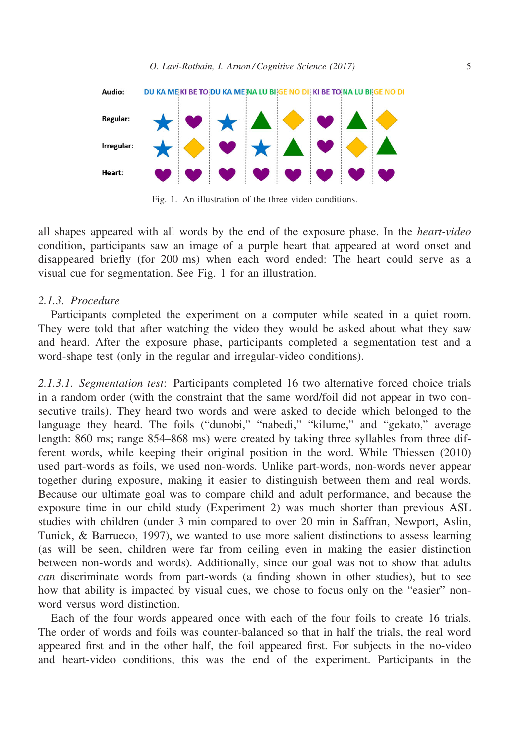

Fig. 1. An illustration of the three video conditions.

all shapes appeared with all words by the end of the exposure phase. In the heart-video condition, participants saw an image of a purple heart that appeared at word onset and disappeared briefly (for 200 ms) when each word ended: The heart could serve as a visual cue for segmentation. See Fig. 1 for an illustration.

## 2.1.3. Procedure

Participants completed the experiment on a computer while seated in a quiet room. They were told that after watching the video they would be asked about what they saw and heard. After the exposure phase, participants completed a segmentation test and a word-shape test (only in the regular and irregular-video conditions).

2.1.3.1. Segmentation test: Participants completed 16 two alternative forced choice trials in a random order (with the constraint that the same word/foil did not appear in two consecutive trails). They heard two words and were asked to decide which belonged to the language they heard. The foils ("dunobi," "nabedi," "kilume," and "gekato," average length: 860 ms; range 854–868 ms) were created by taking three syllables from three different words, while keeping their original position in the word. While Thiessen (2010) used part-words as foils, we used non-words. Unlike part-words, non-words never appear together during exposure, making it easier to distinguish between them and real words. Because our ultimate goal was to compare child and adult performance, and because the exposure time in our child study (Experiment 2) was much shorter than previous ASL studies with children (under 3 min compared to over 20 min in Saffran, Newport, Aslin, Tunick, & Barrueco, 1997), we wanted to use more salient distinctions to assess learning (as will be seen, children were far from ceiling even in making the easier distinction between non-words and words). Additionally, since our goal was not to show that adults can discriminate words from part-words (a finding shown in other studies), but to see how that ability is impacted by visual cues, we chose to focus only on the "easier" nonword versus word distinction.

Each of the four words appeared once with each of the four foils to create 16 trials. The order of words and foils was counter-balanced so that in half the trials, the real word appeared first and in the other half, the foil appeared first. For subjects in the no-video and heart-video conditions, this was the end of the experiment. Participants in the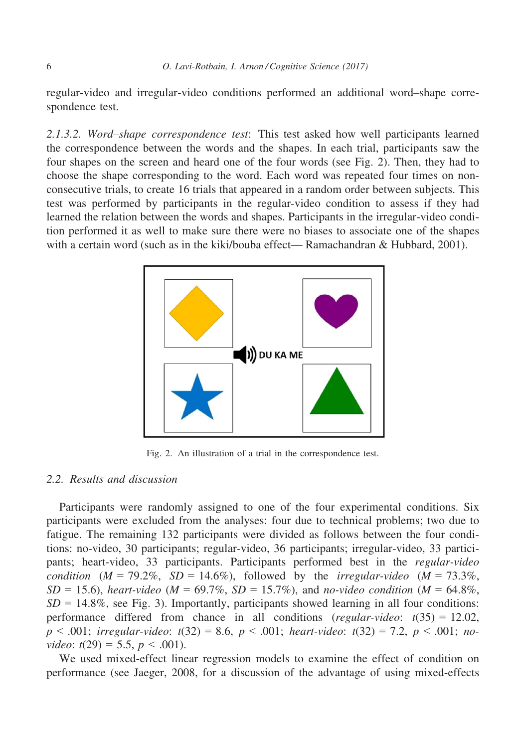regular-video and irregular-video conditions performed an additional word–shape correspondence test.

2.1.3.2. Word–shape correspondence test: This test asked how well participants learned the correspondence between the words and the shapes. In each trial, participants saw the four shapes on the screen and heard one of the four words (see Fig. 2). Then, they had to choose the shape corresponding to the word. Each word was repeated four times on nonconsecutive trials, to create 16 trials that appeared in a random order between subjects. This test was performed by participants in the regular-video condition to assess if they had learned the relation between the words and shapes. Participants in the irregular-video condition performed it as well to make sure there were no biases to associate one of the shapes with a certain word (such as in the kiki/bouba effect— Ramachandran & Hubbard, 2001).



Fig. 2. An illustration of a trial in the correspondence test.

# 2.2. Results and discussion

Participants were randomly assigned to one of the four experimental conditions. Six participants were excluded from the analyses: four due to technical problems; two due to fatigue. The remaining 132 participants were divided as follows between the four conditions: no-video, 30 participants; regular-video, 36 participants; irregular-video, 33 participants; heart-video, 33 participants. Participants performed best in the regular-video condition  $(M = 79.2\%, SD = 14.6\%),$  followed by the *irregular-video*  $(M = 73.3\%,$  $SD = 15.6$ ), heart-video (M = 69.7%,  $SD = 15.7\%$ ), and no-video condition (M = 64.8%,  $SD = 14.8\%$ , see Fig. 3). Importantly, participants showed learning in all four conditions: performance differed from chance in all conditions (regular-video:  $t(35) = 12.02$ ,  $p < .001$ ; irregular-video: t(32) = 8.6, p < .001; heart-video: t(32) = 7.2, p < .001; novideo:  $t(29) = 5.5$ ,  $p < .001$ ).

We used mixed-effect linear regression models to examine the effect of condition on performance (see Jaeger, 2008, for a discussion of the advantage of using mixed-effects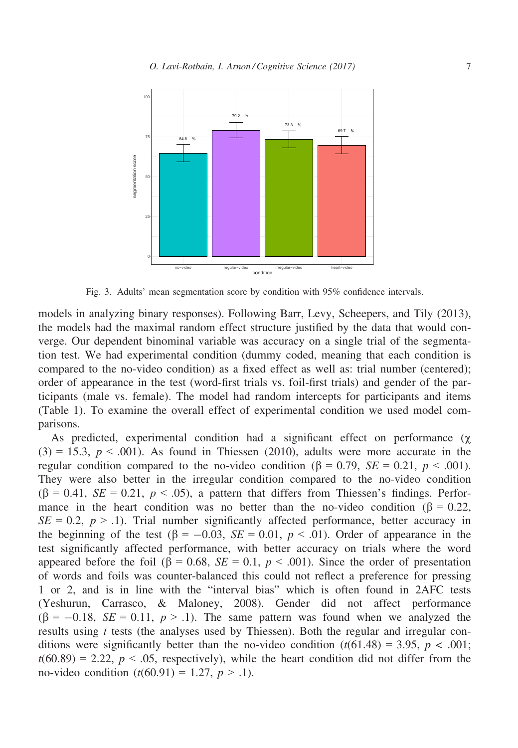

Fig. 3. Adults' mean segmentation score by condition with 95% confidence intervals.

models in analyzing binary responses). Following Barr, Levy, Scheepers, and Tily (2013), the models had the maximal random effect structure justified by the data that would converge. Our dependent binominal variable was accuracy on a single trial of the segmentation test. We had experimental condition (dummy coded, meaning that each condition is compared to the no-video condition) as a fixed effect as well as: trial number (centered); order of appearance in the test (word-first trials vs. foil-first trials) and gender of the participants (male vs. female). The model had random intercepts for participants and items (Table 1). To examine the overall effect of experimental condition we used model comparisons.

As predicted, experimental condition had a significant effect on performance  $(\chi)$  $(3) = 15.3$ ,  $p < .001$ ). As found in Thiessen (2010), adults were more accurate in the regular condition compared to the no-video condition ( $\beta = 0.79$ ,  $SE = 0.21$ ,  $p < .001$ ). They were also better in the irregular condition compared to the no-video condition  $(\beta = 0.41, SE = 0.21, p < .05)$ , a pattern that differs from Thiessen's findings. Performance in the heart condition was no better than the no-video condition ( $\beta = 0.22$ ,  $SE = 0.2$ ,  $p > 0.1$ ). Trial number significantly affected performance, better accuracy in the beginning of the test  $(\beta = -0.03, \, SE = 0.01, \, p < .01)$ . Order of appearance in the test significantly affected performance, with better accuracy on trials where the word appeared before the foil ( $\beta = 0.68$ ,  $SE = 0.1$ ,  $p < .001$ ). Since the order of presentation of words and foils was counter-balanced this could not reflect a preference for pressing 1 or 2, and is in line with the "interval bias" which is often found in 2AFC tests (Yeshurun, Carrasco, & Maloney, 2008). Gender did not affect performance  $(\beta = -0.18, \, SE = 0.11, \, p > .1)$ . The same pattern was found when we analyzed the results using  $t$  tests (the analyses used by Thiessen). Both the regular and irregular conditions were significantly better than the no-video condition  $(t(61.48) = 3.95, p < .001;$  $t(60.89) = 2.22$ ,  $p < .05$ , respectively), while the heart condition did not differ from the no-video condition  $(t(60.91) = 1.27, p > .1)$ .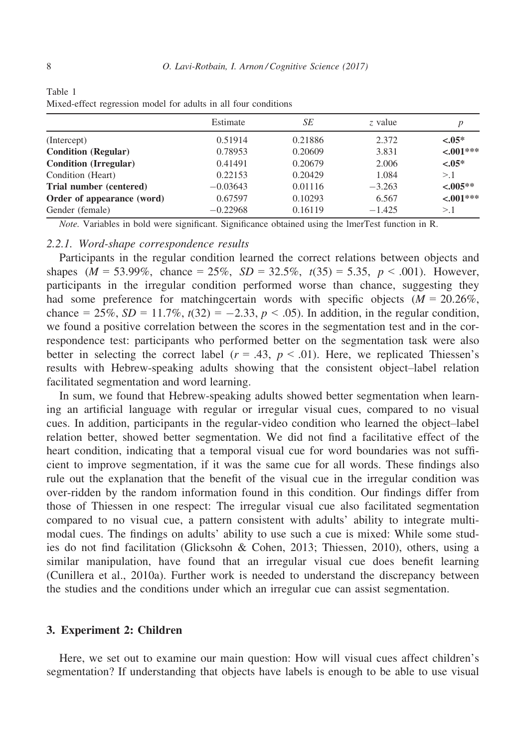|                            | Estimate   | SЕ      | z value  |            |
|----------------------------|------------|---------|----------|------------|
| (Intercept)                | 0.51914    | 0.21886 | 2.372    | $-.05*$    |
| <b>Condition (Regular)</b> | 0.78953    | 0.20609 | 3.831    | $<001***$  |
| Condition (Irregular)      | 0.41491    | 0.20679 | 2.006    | $-.05*$    |
| Condition (Heart)          | 0.22153    | 0.20429 | 1.084    | >1         |
| Trial number (centered)    | $-0.03643$ | 0.01116 | $-3.263$ | $< 0.05**$ |
| Order of appearance (word) | 0.67597    | 0.10293 | 6.567    | $< 001***$ |
| Gender (female)            | $-0.22968$ | 0.16119 | $-1.425$ | $>1$ .     |

| Mixed-effect regression model for adults in all four conditions |  |  |  |  |
|-----------------------------------------------------------------|--|--|--|--|
|                                                                 |  |  |  |  |

Note. Variables in bold were significant. Significance obtained using the lmerTest function in R.

#### 2.2.1. Word-shape correspondence results

Participants in the regular condition learned the correct relations between objects and shapes  $(M = 53.99\%$ , chance  $= 25\%$ ,  $SD = 32.5\%$ ,  $t(35) = 5.35$ ,  $p < .001$ ). However, participants in the irregular condition performed worse than chance, suggesting they had some preference for matchingcertain words with specific objects  $(M = 20.26\%$ , chance = 25%,  $SD = 11.7\%$ ,  $t(32) = -2.33$ ,  $p < .05$ ). In addition, in the regular condition, we found a positive correlation between the scores in the segmentation test and in the correspondence test: participants who performed better on the segmentation task were also better in selecting the correct label ( $r = .43$ ,  $p < .01$ ). Here, we replicated Thiessen's results with Hebrew-speaking adults showing that the consistent object–label relation facilitated segmentation and word learning.

In sum, we found that Hebrew-speaking adults showed better segmentation when learning an artificial language with regular or irregular visual cues, compared to no visual cues. In addition, participants in the regular-video condition who learned the object–label relation better, showed better segmentation. We did not find a facilitative effect of the heart condition, indicating that a temporal visual cue for word boundaries was not sufficient to improve segmentation, if it was the same cue for all words. These findings also rule out the explanation that the benefit of the visual cue in the irregular condition was over-ridden by the random information found in this condition. Our findings differ from those of Thiessen in one respect: The irregular visual cue also facilitated segmentation compared to no visual cue, a pattern consistent with adults' ability to integrate multimodal cues. The findings on adults' ability to use such a cue is mixed: While some studies do not find facilitation (Glicksohn & Cohen, 2013; Thiessen, 2010), others, using a similar manipulation, have found that an irregular visual cue does benefit learning (Cunillera et al., 2010a). Further work is needed to understand the discrepancy between the studies and the conditions under which an irregular cue can assist segmentation.

### 3. Experiment 2: Children

Here, we set out to examine our main question: How will visual cues affect children's segmentation? If understanding that objects have labels is enough to be able to use visual

Table 1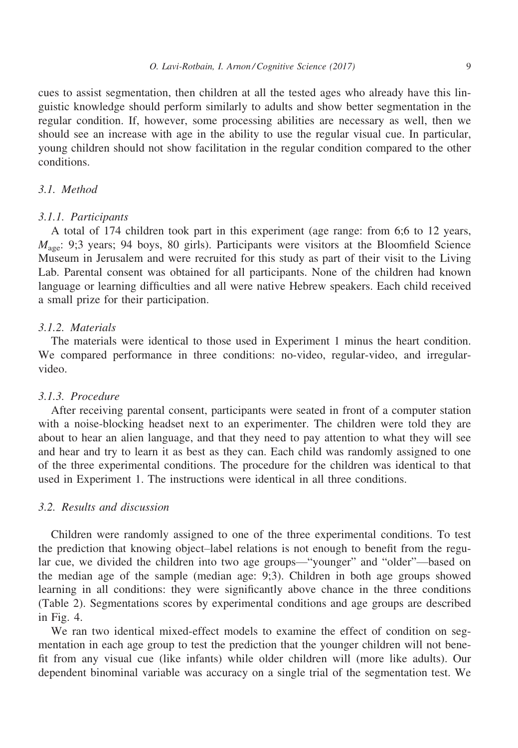cues to assist segmentation, then children at all the tested ages who already have this linguistic knowledge should perform similarly to adults and show better segmentation in the regular condition. If, however, some processing abilities are necessary as well, then we should see an increase with age in the ability to use the regular visual cue. In particular, young children should not show facilitation in the regular condition compared to the other conditions.

# 3.1. Method

#### 3.1.1. Participants

A total of 174 children took part in this experiment (age range: from 6;6 to 12 years,  $M_{\text{acc}}$ : 9;3 years; 94 boys, 80 girls). Participants were visitors at the Bloomfield Science Museum in Jerusalem and were recruited for this study as part of their visit to the Living Lab. Parental consent was obtained for all participants. None of the children had known language or learning difficulties and all were native Hebrew speakers. Each child received a small prize for their participation.

# 3.1.2. Materials

The materials were identical to those used in Experiment 1 minus the heart condition. We compared performance in three conditions: no-video, regular-video, and irregularvideo.

#### 3.1.3. Procedure

After receiving parental consent, participants were seated in front of a computer station with a noise-blocking headset next to an experimenter. The children were told they are about to hear an alien language, and that they need to pay attention to what they will see and hear and try to learn it as best as they can. Each child was randomly assigned to one of the three experimental conditions. The procedure for the children was identical to that used in Experiment 1. The instructions were identical in all three conditions.

## 3.2. Results and discussion

Children were randomly assigned to one of the three experimental conditions. To test the prediction that knowing object–label relations is not enough to benefit from the regular cue, we divided the children into two age groups—"younger" and "older"—based on the median age of the sample (median age: 9;3). Children in both age groups showed learning in all conditions: they were significantly above chance in the three conditions (Table 2). Segmentations scores by experimental conditions and age groups are described in Fig. 4.

We ran two identical mixed-effect models to examine the effect of condition on segmentation in each age group to test the prediction that the younger children will not benefit from any visual cue (like infants) while older children will (more like adults). Our dependent binominal variable was accuracy on a single trial of the segmentation test. We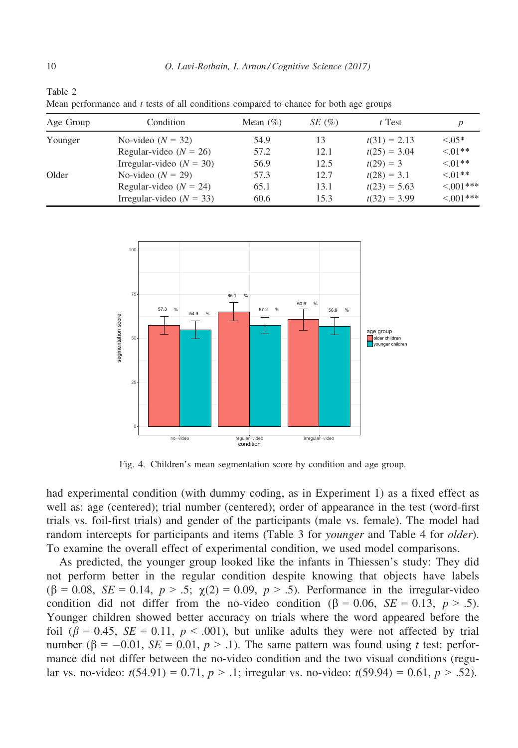| Mean performance and t tests of all conditions compared to chance for both age groups |                            |              |       |                |             |  |  |  |
|---------------------------------------------------------------------------------------|----------------------------|--------------|-------|----------------|-------------|--|--|--|
| Age Group                                                                             | Condition                  | Mean $(\% )$ | SE(%) | $t$ Test       |             |  |  |  |
| Younger                                                                               | No-video $(N = 32)$        | 54.9         | 13    | $t(31) = 2.13$ | $< 0.05*$   |  |  |  |
|                                                                                       | Regular-video $(N = 26)$   | 57.2         | 12.1  | $t(25) = 3.04$ | $\leq 01**$ |  |  |  |
|                                                                                       | Irregular-video $(N = 30)$ | 56.9         | 12.5  | $t(29) = 3$    | $\leq 01**$ |  |  |  |
| Older                                                                                 | No-video $(N = 29)$        | 57.3         | 12.7  | $t(28) = 3.1$  | $\leq$ 01** |  |  |  |
|                                                                                       | Regular-video $(N = 24)$   | 65.1         | 13.1  | $t(23) = 5.63$ | $<001***$   |  |  |  |
|                                                                                       | Irregular-video $(N = 33)$ | 60.6         | 15.3  | $t(32) = 3.99$ | $<001***$   |  |  |  |



Fig. 4. Children's mean segmentation score by condition and age group.

had experimental condition (with dummy coding, as in Experiment 1) as a fixed effect as well as: age (centered); trial number (centered); order of appearance in the test (word-first trials vs. foil-first trials) and gender of the participants (male vs. female). The model had random intercepts for participants and items (Table 3 for *younger* and Table 4 for *older*). To examine the overall effect of experimental condition, we used model comparisons.

As predicted, the younger group looked like the infants in Thiessen's study: They did not perform better in the regular condition despite knowing that objects have labels  $(\beta = 0.08, \, SE = 0.14, \, p > .5; \, \chi(2) = 0.09, \, p > .5)$ . Performance in the irregular-video condition did not differ from the no-video condition ( $\beta = 0.06$ ,  $SE = 0.13$ ,  $p > .5$ ). Younger children showed better accuracy on trials where the word appeared before the foil ( $\beta = 0.45$ ,  $SE = 0.11$ ,  $p < .001$ ), but unlike adults they were not affected by trial number ( $\beta = -0.01$ ,  $SE = 0.01$ ,  $p > 0.1$ ). The same pattern was found using t test: performance did not differ between the no-video condition and the two visual conditions (regular vs. no-video:  $t(54.91) = 0.71$ ,  $p > 0.1$ ; irregular vs. no-video:  $t(59.94) = 0.61$ ,  $p > 0.52$ ).

Table 2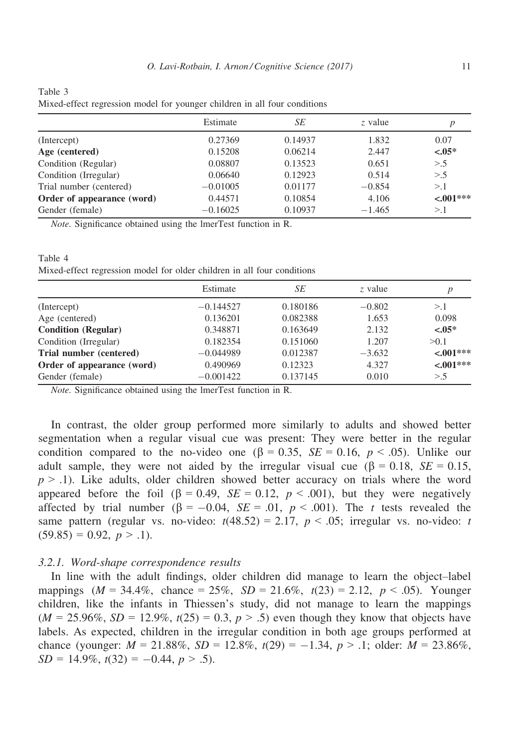|                            | Estimate   | SЕ      | z value  |            |
|----------------------------|------------|---------|----------|------------|
| (Intercept)                | 0.27369    | 0.14937 | 1.832    | 0.07       |
| Age (centered)             | 0.15208    | 0.06214 | 2.447    | $-.05*$    |
| Condition (Regular)        | 0.08807    | 0.13523 | 0.651    | > 5        |
| Condition (Irregular)      | 0.06640    | 0.12923 | 0.514    | > 5        |
| Trial number (centered)    | $-0.01005$ | 0.01177 | $-0.854$ | >1         |
| Order of appearance (word) | 0.44571    | 0.10854 | 4.106    | $< 001***$ |
| Gender (female)            | $-0.16025$ | 0.10937 | $-1.465$ | >1         |

| Table 3                                                                   |  |  |  |
|---------------------------------------------------------------------------|--|--|--|
| Mixed-effect regression model for younger children in all four conditions |  |  |  |

Note. Significance obtained using the lmerTest function in R.

Table 4 Mixed-effect regression model for older children in all four conditions

|                            | Estimate    | SЕ       | z value  | p               |
|----------------------------|-------------|----------|----------|-----------------|
| (Intercept)                | $-0.144527$ | 0.180186 | $-0.802$ | >1              |
| Age (centered)             | 0.136201    | 0.082388 | 1.653    | 0.098           |
| <b>Condition</b> (Regular) | 0.348871    | 0.163649 | 2.132    | $-.05*$         |
| Condition (Irregular)      | 0.182354    | 0.151060 | 1.207    | >0.1            |
| Trial number (centered)    | $-0.044989$ | 0.012387 | $-3.632$ | $\leq 0.01$ *** |
| Order of appearance (word) | 0.490969    | 0.12323  | 4.327    | $< 0.01***$     |
| Gender (female)            | $-0.001422$ | 0.137145 | 0.010    | > 0.5           |

Note. Significance obtained using the lmerTest function in R.

In contrast, the older group performed more similarly to adults and showed better segmentation when a regular visual cue was present: They were better in the regular condition compared to the no-video one ( $\beta = 0.35$ ,  $SE = 0.16$ ,  $p < .05$ ). Unlike our adult sample, they were not aided by the irregular visual cue ( $\beta = 0.18$ ,  $SE = 0.15$ ,  $p > 0.1$ ). Like adults, older children showed better accuracy on trials where the word appeared before the foil ( $\beta = 0.49$ ,  $SE = 0.12$ ,  $p < .001$ ), but they were negatively affected by trial number ( $\beta = -0.04$ ,  $SE = .01$ ,  $p < .001$ ). The t tests revealed the same pattern (regular vs. no-video:  $t(48.52) = 2.17$ ,  $p < .05$ ; irregular vs. no-video: t  $(59.85) = 0.92, p > .1$ ).

### 3.2.1. Word-shape correspondence results

In line with the adult findings, older children did manage to learn the object–label mappings  $(M = 34.4\%$ , chance  $= 25\%$ ,  $SD = 21.6\%$ ,  $t(23) = 2.12$ ,  $p < .05$ ). Younger children, like the infants in Thiessen's study, did not manage to learn the mappings  $(M = 25.96\%, SD = 12.9\%, t(25) = 0.3, p > .5)$  even though they know that objects have labels. As expected, children in the irregular condition in both age groups performed at chance (younger:  $M = 21.88\%$ ,  $SD = 12.8\%$ ,  $t(29) = -1.34$ ,  $p > 0.1$ ; older:  $M = 23.86\%$ ,  $SD = 14.9\%, t(32) = -0.44, p > .5$ .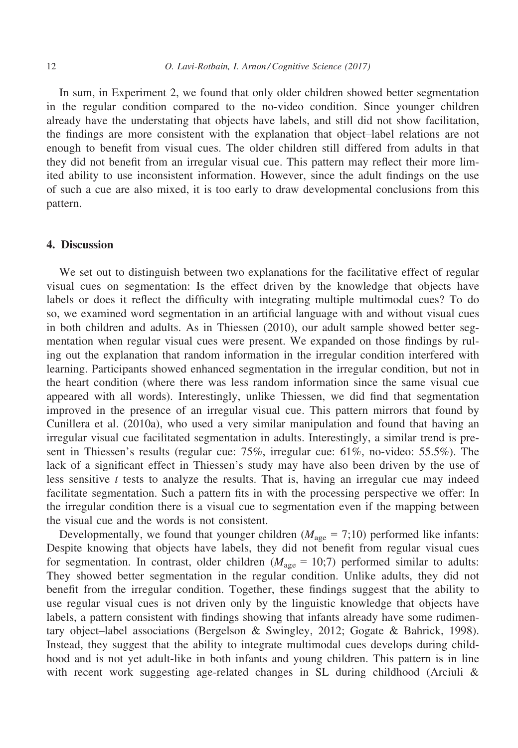In sum, in Experiment 2, we found that only older children showed better segmentation in the regular condition compared to the no-video condition. Since younger children already have the understating that objects have labels, and still did not show facilitation, the findings are more consistent with the explanation that object–label relations are not enough to benefit from visual cues. The older children still differed from adults in that they did not benefit from an irregular visual cue. This pattern may reflect their more limited ability to use inconsistent information. However, since the adult findings on the use of such a cue are also mixed, it is too early to draw developmental conclusions from this pattern.

#### 4. Discussion

We set out to distinguish between two explanations for the facilitative effect of regular visual cues on segmentation: Is the effect driven by the knowledge that objects have labels or does it reflect the difficulty with integrating multiple multimodal cues? To do so, we examined word segmentation in an artificial language with and without visual cues in both children and adults. As in Thiessen (2010), our adult sample showed better segmentation when regular visual cues were present. We expanded on those findings by ruling out the explanation that random information in the irregular condition interfered with learning. Participants showed enhanced segmentation in the irregular condition, but not in the heart condition (where there was less random information since the same visual cue appeared with all words). Interestingly, unlike Thiessen, we did find that segmentation improved in the presence of an irregular visual cue. This pattern mirrors that found by Cunillera et al. (2010a), who used a very similar manipulation and found that having an irregular visual cue facilitated segmentation in adults. Interestingly, a similar trend is present in Thiessen's results (regular cue: 75%, irregular cue: 61%, no-video: 55.5%). The lack of a significant effect in Thiessen's study may have also been driven by the use of less sensitive  $t$  tests to analyze the results. That is, having an irregular cue may indeed facilitate segmentation. Such a pattern fits in with the processing perspective we offer: In the irregular condition there is a visual cue to segmentation even if the mapping between the visual cue and the words is not consistent.

Developmentally, we found that younger children  $(M<sub>ave</sub> = 7;10)$  performed like infants: Despite knowing that objects have labels, they did not benefit from regular visual cues for segmentation. In contrast, older children ( $M_{\text{age}} = 10;7$ ) performed similar to adults: They showed better segmentation in the regular condition. Unlike adults, they did not benefit from the irregular condition. Together, these findings suggest that the ability to use regular visual cues is not driven only by the linguistic knowledge that objects have labels, a pattern consistent with findings showing that infants already have some rudimentary object–label associations (Bergelson & Swingley, 2012; Gogate & Bahrick, 1998). Instead, they suggest that the ability to integrate multimodal cues develops during childhood and is not yet adult-like in both infants and young children. This pattern is in line with recent work suggesting age-related changes in SL during childhood (Arciuli &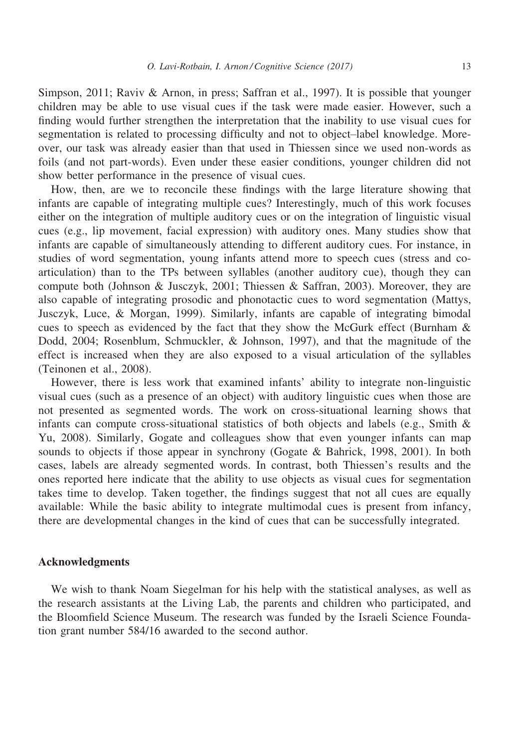Simpson, 2011; Raviv & Arnon, in press; Saffran et al., 1997). It is possible that younger children may be able to use visual cues if the task were made easier. However, such a finding would further strengthen the interpretation that the inability to use visual cues for segmentation is related to processing difficulty and not to object–label knowledge. Moreover, our task was already easier than that used in Thiessen since we used non-words as foils (and not part-words). Even under these easier conditions, younger children did not show better performance in the presence of visual cues.

How, then, are we to reconcile these findings with the large literature showing that infants are capable of integrating multiple cues? Interestingly, much of this work focuses either on the integration of multiple auditory cues or on the integration of linguistic visual cues (e.g., lip movement, facial expression) with auditory ones. Many studies show that infants are capable of simultaneously attending to different auditory cues. For instance, in studies of word segmentation, young infants attend more to speech cues (stress and coarticulation) than to the TPs between syllables (another auditory cue), though they can compute both (Johnson & Jusczyk, 2001; Thiessen & Saffran, 2003). Moreover, they are also capable of integrating prosodic and phonotactic cues to word segmentation (Mattys, Jusczyk, Luce, & Morgan, 1999). Similarly, infants are capable of integrating bimodal cues to speech as evidenced by the fact that they show the McGurk effect (Burnham  $\&$ Dodd, 2004; Rosenblum, Schmuckler, & Johnson, 1997), and that the magnitude of the effect is increased when they are also exposed to a visual articulation of the syllables (Teinonen et al., 2008).

However, there is less work that examined infants' ability to integrate non-linguistic visual cues (such as a presence of an object) with auditory linguistic cues when those are not presented as segmented words. The work on cross-situational learning shows that infants can compute cross-situational statistics of both objects and labels (e.g., Smith  $\&$ Yu, 2008). Similarly, Gogate and colleagues show that even younger infants can map sounds to objects if those appear in synchrony (Gogate & Bahrick, 1998, 2001). In both cases, labels are already segmented words. In contrast, both Thiessen's results and the ones reported here indicate that the ability to use objects as visual cues for segmentation takes time to develop. Taken together, the findings suggest that not all cues are equally available: While the basic ability to integrate multimodal cues is present from infancy, there are developmental changes in the kind of cues that can be successfully integrated.

#### Acknowledgments

We wish to thank Noam Siegelman for his help with the statistical analyses, as well as the research assistants at the Living Lab, the parents and children who participated, and the Bloomfield Science Museum. The research was funded by the Israeli Science Foundation grant number 584/16 awarded to the second author.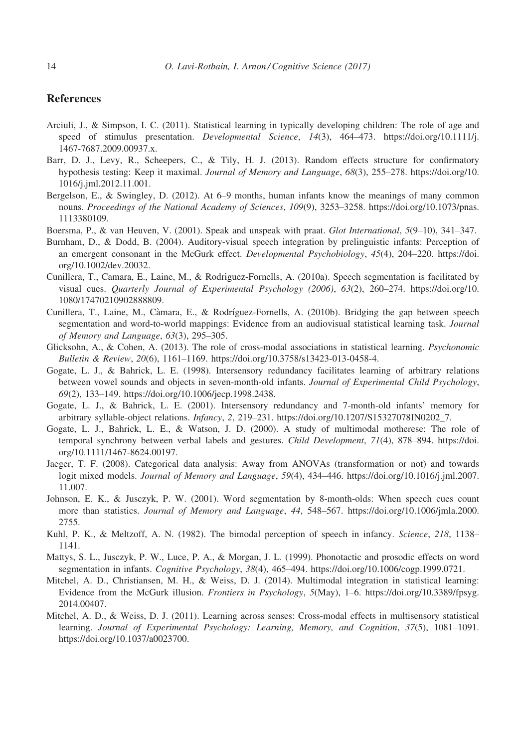#### References

- Arciuli, J., & Simpson, I. C. (2011). Statistical learning in typically developing children: The role of age and speed of stimulus presentation. Developmental Science, 14(3), 464–473. [https://doi.org/10.1111/j.](https://doi.org/10.1111/j.1467-7687.2009.00937.x) [1467-7687.2009.00937.x.](https://doi.org/10.1111/j.1467-7687.2009.00937.x)
- Barr, D. J., Levy, R., Scheepers, C., & Tily, H. J. (2013). Random effects structure for confirmatory hypothesis testing: Keep it maximal. Journal of Memory and Language, 68(3), 255–278. [https://doi.org/10.](https://doi.org/10.1016/j.jml.2012.11.001) [1016/j.jml.2012.11.001](https://doi.org/10.1016/j.jml.2012.11.001).
- Bergelson, E., & Swingley, D. (2012). At 6–9 months, human infants know the meanings of many common nouns. Proceedings of the National Academy of Sciences, 109(9), 3253–3258. [https://doi.org/10.1073/pnas.](https://doi.org/10.1073/pnas.1113380109) [1113380109.](https://doi.org/10.1073/pnas.1113380109)
- Boersma, P., & van Heuven, V. (2001). Speak and unspeak with praat. Glot International, 5(9–10), 341–347.
- Burnham, D., & Dodd, B. (2004). Auditory-visual speech integration by prelinguistic infants: Perception of an emergent consonant in the McGurk effect. Developmental Psychobiology, 45(4), 204–220. [https://doi.](https://doi.org/10.1002/dev.20032) [org/10.1002/dev.20032.](https://doi.org/10.1002/dev.20032)
- Cunillera, T., Camara, E., Laine, M., & Rodriguez-Fornells, A. (2010a). Speech segmentation is facilitated by visual cues. Quarterly Journal of Experimental Psychology (2006), 63(2), 260–274. [https://doi.org/10.](https://doi.org/10.1080/17470210902888809) [1080/17470210902888809.](https://doi.org/10.1080/17470210902888809)
- Cunillera, T., Laine, M., Càmara, E., & Rodríguez-Fornells, A. (2010b). Bridging the gap between speech segmentation and word-to-world mappings: Evidence from an audiovisual statistical learning task. Journal of Memory and Language, 63(3), 295–305.
- Glicksohn, A., & Cohen, A. (2013). The role of cross-modal associations in statistical learning. *Psychonomic* Bulletin & Review, 20(6), 1161–1169. [https://doi.org/10.3758/s13423-013-0458-4.](https://doi.org/10.3758/s13423-013-0458-4)
- Gogate, L. J., & Bahrick, L. E. (1998). Intersensory redundancy facilitates learning of arbitrary relations between vowel sounds and objects in seven-month-old infants. Journal of Experimental Child Psychology, 69(2), 133–149. [https://doi.org/10.1006/jecp.1998.2438.](https://doi.org/10.1006/jecp.1998.2438)
- Gogate, L. J., & Bahrick, L. E. (2001). Intersensory redundancy and 7-month-old infants' memory for arbitrary syllable-object relations. Infancy, 2, 219–231. [https://doi.org/10.1207/S15327078IN0202\\_7.](https://doi.org/10.1207/S15327078IN0202_7)
- Gogate, L. J., Bahrick, L. E., & Watson, J. D. (2000). A study of multimodal motherese: The role of temporal synchrony between verbal labels and gestures. Child Development, 71(4), 878–894. [https://doi.](https://doi.org/10.1111/1467-8624.00197) [org/10.1111/1467-8624.00197.](https://doi.org/10.1111/1467-8624.00197)
- Jaeger, T. F. (2008). Categorical data analysis: Away from ANOVAs (transformation or not) and towards logit mixed models. Journal of Memory and Language, 59(4), 434–446. [https://doi.org/10.1016/j.jml.2007.](https://doi.org/10.1016/j.jml.2007.11.007) [11.007.](https://doi.org/10.1016/j.jml.2007.11.007)
- Johnson, E. K., & Jusczyk, P. W. (2001). Word segmentation by 8-month-olds: When speech cues count more than statistics. Journal of Memory and Language, 44, 548–567. [https://doi.org/10.1006/jmla.2000.](https://doi.org/10.1006/jmla.2000.2755) [2755](https://doi.org/10.1006/jmla.2000.2755).
- Kuhl, P. K., & Meltzoff, A. N. (1982). The bimodal perception of speech in infancy. Science, 218, 1138– 1141.
- Mattys, S. L., Jusczyk, P. W., Luce, P. A., & Morgan, J. L. (1999). Phonotactic and prosodic effects on word segmentation in infants. Cognitive Psychology, 38(4), 465–494.<https://doi.org/10.1006/cogp.1999.0721>.
- Mitchel, A. D., Christiansen, M. H., & Weiss, D. J. (2014). Multimodal integration in statistical learning: Evidence from the McGurk illusion. Frontiers in Psychology, 5(May), 1–6. [https://doi.org/10.3389/fpsyg.](https://doi.org/10.3389/fpsyg.2014.00407) [2014.00407.](https://doi.org/10.3389/fpsyg.2014.00407)
- Mitchel, A. D., & Weiss, D. J. (2011). Learning across senses: Cross-modal effects in multisensory statistical learning. Journal of Experimental Psychology: Learning, Memory, and Cognition, 37(5), 1081–1091. <https://doi.org/10.1037/a0023700>.